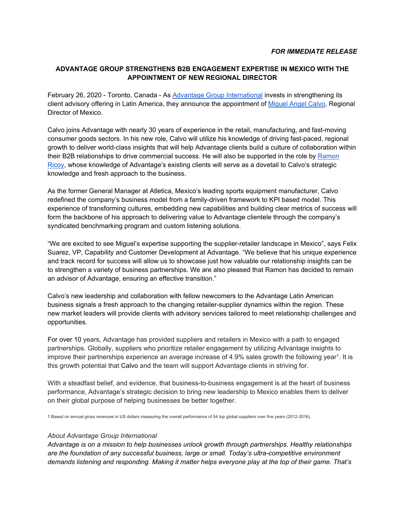## **ADVANTAGE GROUP STRENGTHENS B2B ENGAGEMENT EXPERTISE IN MEXICO WITH THE APPOINTMENT OF NEW REGIONAL DIRECTOR**

February 26, 2020 - Toronto, Canada - As [Advantage Group International](https://www.advantagegroup.com/) invests in strengthening its client advisory offering in Latin America, they announce the appointment of [Miguel Angel Calvo,](https://www.linkedin.com/in/miguel-angel-calvo-4b1a965/) Regional Director of Mexico.

Calvo joins Advantage with nearly 30 years of experience in the retail, manufacturing, and fast-moving consumer goods sectors. In his new role, Calvo will utilize his knowledge of driving fast-paced, regional growth to deliver world-class insights that will help Advantage clients build a culture of collaboration within their B2B relationships to drive commercial success. He will also be supported in the role by [Ramon](https://www.linkedin.com/in/ramon-ricoy-b88795/)  [Ricoy,](https://www.linkedin.com/in/ramon-ricoy-b88795/) whose knowledge of Advantage's existing clients will serve as a dovetail to Calvo's strategic knowledge and fresh approach to the business.

As the former General Manager at Atletica, Mexico's leading sports equipment manufacturer, Calvo redefined the company's business model from a family-driven framework to KPI based model. This experience of transforming cultures, embedding new capabilities and building clear metrics of success will form the backbone of his approach to delivering value to Advantage clientele through the company's syndicated benchmarking program and custom listening solutions.

"We are excited to see Miguel's expertise supporting the supplier-retailer landscape in Mexico", says Felix Suarez, VP, Capability and Customer Development at Advantage. "We believe that his unique experience and track record for success will allow us to showcase just how valuable our relationship insights can be to strengthen a variety of business partnerships. We are also pleased that Ramon has decided to remain an advisor of Advantage, ensuring an effective transition."

Calvo's new leadership and collaboration with fellow newcomers to the Advantage Latin American business signals a fresh approach to the changing retailer-supplier dynamics within the region. These new market leaders will provide clients with advisory services tailored to meet relationship challenges and opportunities.

For over 10 years, Advantage has provided suppliers and retailers in Mexico with a path to engaged partnerships. Globally, suppliers who prioritize retailer engagement by utilizing Advantage insights to improve their partnerships experience an average increase of 4.9% sales growth the following year<sup>1</sup>. It is this growth potential that Calvo and the team will support Advantage clients in striving for.

With a steadfast belief, and evidence, that business-to-business engagement is at the heart of business performance, Advantage's strategic decision to bring new leadership to Mexico enables them to deliver on their global purpose of helping businesses be better together.

1 Based on annual gross revenues in US dollars measuring the overall performance of 54 top global suppliers over five years (2012-2016).

## *About Advantage Group International*

*Advantage is on a mission to help businesses unlock growth through partnerships. Healthy relationships are the foundation of any successful business, large or small. Today's ultra-competitive environment demands listening and responding. Making it matter helps everyone play at the top of their game. That's*